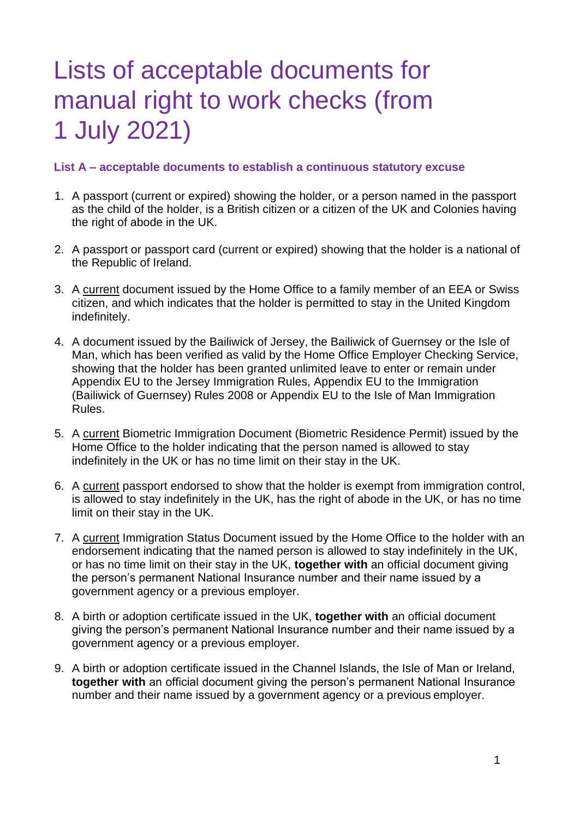# Lists of acceptable documents for manual right to work checks (from 1 July 2021)

#### **List A – acceptable documents to establish a continuous statutory excuse**

- 1. A passport (current or expired) showing the holder, or a person named in the passport as the child of the holder, is a British citizen or a citizen of the UK and Colonies having the right of abode in the UK.
- 2. A passport or passport card (current or expired) showing that the holder is a national of the Republic of Ireland.
- 3. A current document issued by the Home Office to a family member of an EEA or Swiss citizen, and which indicates that the holder is permitted to stay in the United Kingdom indefinitely.
- 4. A document issued by the Bailiwick of Jersey, the Bailiwick of Guernsey or the Isle of Man, which has been verified as valid by the Home Office Employer Checking Service, showing that the holder has been granted unlimited leave to enter or remain under Appendix EU to the Jersey Immigration Rules, Appendix EU to the Immigration (Bailiwick of Guernsey) Rules 2008 or Appendix EU to the Isle of Man Immigration Rules.
- 5. A current Biometric Immigration Document (Biometric Residence Permit) issued by the Home Office to the holder indicating that the person named is allowed to stay indefinitely in the UK or has no time limit on their stay in the UK.
- 6. A current passport endorsed to show that the holder is exempt from immigration control, is allowed to stay indefinitely in the UK, has the right of abode in the UK, or has no time limit on their stay in the UK.
- 7. A current Immigration Status Document issued by the Home Office to the holder with an endorsement indicating that the named person is allowed to stay indefinitely in the UK, or has no time limit on their stay in the UK, **together with** an official document giving the person's permanent National Insurance number and their name issued by a government agency or a previous employer.
- 8. A birth or adoption certificate issued in the UK, **together with** an official document giving the person's permanent National Insurance number and their name issued by a government agency or a previous employer.
- 9. A birth or adoption certificate issued in the Channel Islands, the Isle of Man or Ireland, **together with** an official document giving the person's permanent National Insurance number and their name issued by a government agency or a previous employer.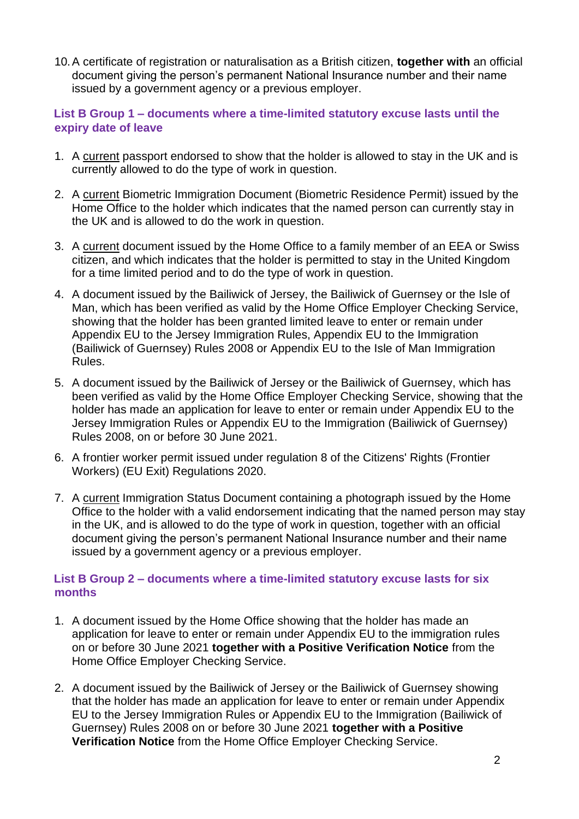10.A certificate of registration or naturalisation as a British citizen, **together with** an official document giving the person's permanent National Insurance number and their name issued by a government agency or a previous employer.

#### **List B Group 1 – documents where a time-limited statutory excuse lasts until the expiry date of leave**

- 1. A current passport endorsed to show that the holder is allowed to stay in the UK and is currently allowed to do the type of work in question.
- 2. A current Biometric Immigration Document (Biometric Residence Permit) issued by the Home Office to the holder which indicates that the named person can currently stay in the UK and is allowed to do the work in question.
- 3. A current document issued by the Home Office to a family member of an EEA or Swiss citizen, and which indicates that the holder is permitted to stay in the United Kingdom for a time limited period and to do the type of work in question.
- 4. A document issued by the Bailiwick of Jersey, the Bailiwick of Guernsey or the Isle of Man, which has been verified as valid by the Home Office Employer Checking Service, showing that the holder has been granted limited leave to enter or remain under Appendix EU to the Jersey Immigration Rules, Appendix EU to the Immigration (Bailiwick of Guernsey) Rules 2008 or Appendix EU to the Isle of Man Immigration Rules.
- 5. A document issued by the Bailiwick of Jersey or the Bailiwick of Guernsey, which has been verified as valid by the Home Office Employer Checking Service, showing that the holder has made an application for leave to enter or remain under Appendix EU to the Jersey Immigration Rules or Appendix EU to the Immigration (Bailiwick of Guernsey) Rules 2008, on or before 30 June 2021.
- 6. A frontier worker permit issued under regulation 8 of the Citizens' Rights (Frontier Workers) (EU Exit) Regulations 2020.
- 7. A current Immigration Status Document containing a photograph issued by the Home Office to the holder with a valid endorsement indicating that the named person may stay in the UK, and is allowed to do the type of work in question, together with an official document giving the person's permanent National Insurance number and their name issued by a government agency or a previous employer.

#### **List B Group 2 – documents where a time-limited statutory excuse lasts for six months**

- 1. A document issued by the Home Office showing that the holder has made an application for leave to enter or remain under Appendix EU to the immigration rules on or before 30 June 2021 **together with a Positive Verification Notice** from the Home Office Employer Checking Service.
- 2. A document issued by the Bailiwick of Jersey or the Bailiwick of Guernsey showing that the holder has made an application for leave to enter or remain under Appendix EU to the Jersey Immigration Rules or Appendix EU to the Immigration (Bailiwick of Guernsey) Rules 2008 on or before 30 June 2021 **together with a Positive Verification Notice** from the Home Office Employer Checking Service.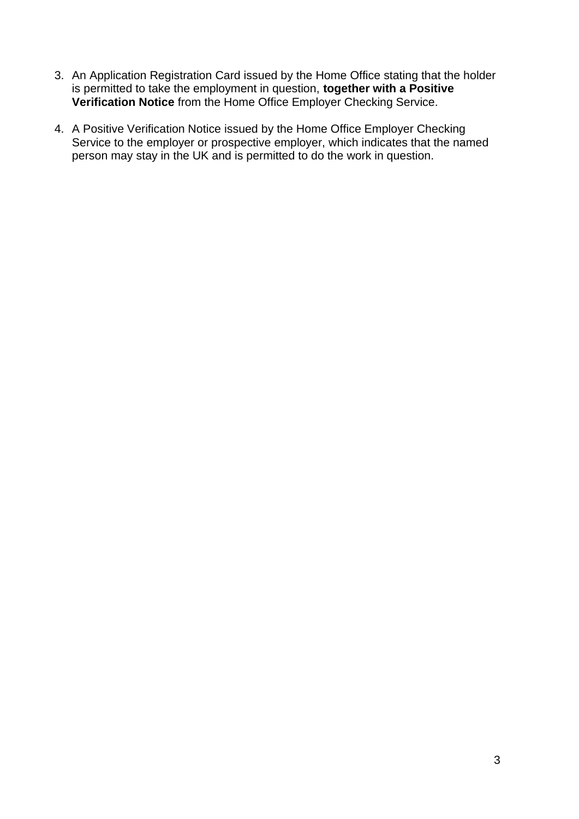- 3. An Application Registration Card issued by the Home Office stating that the holder is permitted to take the employment in question, **together with a Positive Verification Notice** from the Home Office Employer Checking Service.
- 4. A Positive Verification Notice issued by the Home Office Employer Checking Service to the employer or prospective employer, which indicates that the named person may stay in the UK and is permitted to do the work in question.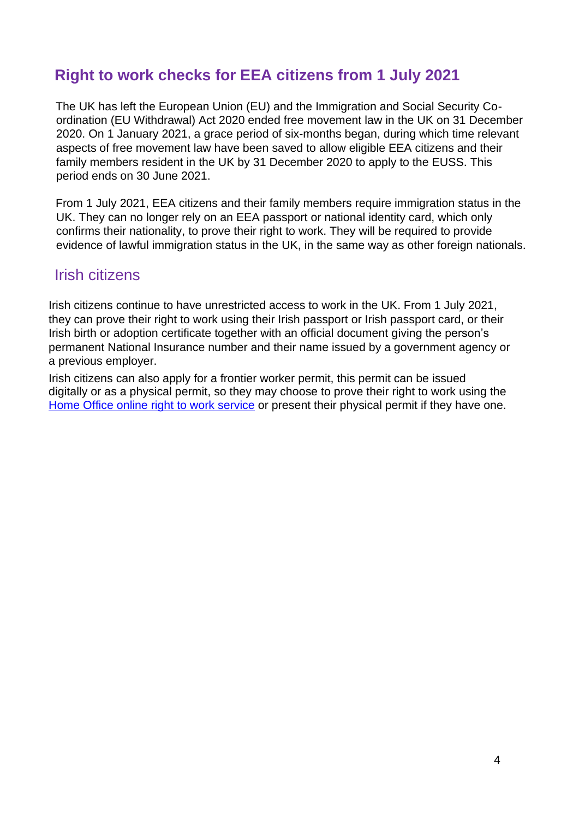## **Right to work checks for EEA citizens from 1 July 2021**

The UK has left the European Union (EU) and the Immigration and Social Security Coordination (EU Withdrawal) Act 2020 ended free movement law in the UK on 31 December 2020. On 1 January 2021, a grace period of six-months began, during which time relevant aspects of free movement law have been saved to allow eligible EEA citizens and their family members resident in the UK by 31 December 2020 to apply to the EUSS. This period ends on 30 June 2021.

From 1 July 2021, EEA citizens and their family members require immigration status in the UK. They can no longer rely on an EEA passport or national identity card, which only confirms their nationality, to prove their right to work. They will be required to provide evidence of lawful immigration status in the UK, in the same way as other foreign nationals.

### Irish citizens

Irish citizens continue to have unrestricted access to work in the UK. From 1 July 2021, they can prove their right to work using their Irish passport or Irish passport card, or their Irish birth or adoption certificate together with an official document giving the person's permanent National Insurance number and their name issued by a government agency or a previous employer.

Irish citizens can also apply for a frontier worker permit, this permit can be issued digitally or as a physical permit, so they may choose to prove their right to work using the [Home Office online right to work service](https://www.gov.uk/prove-right-to-work) or present their physical permit if they have one.